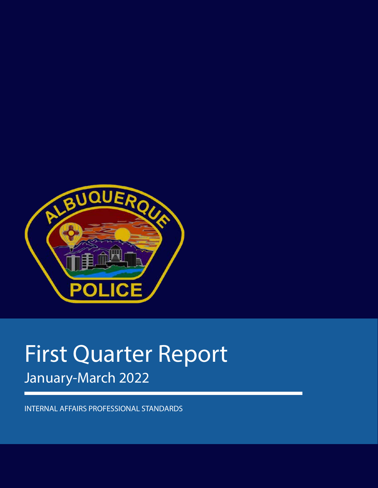

#### First Quarter Report January-March 2022

INTERNAL AFFAIRS PROFESSIONAL STANDARDS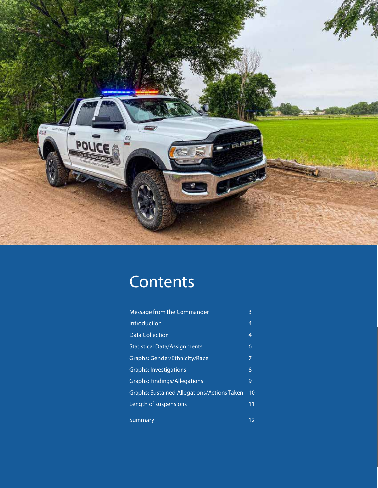

#### **Contents**

| Message from the Commander                         | 3  |
|----------------------------------------------------|----|
| Introduction                                       | 4  |
| <b>Data Collection</b>                             | 4  |
| <b>Statistical Data/Assignments</b>                | 6  |
| Graphs: Gender/Ethnicity/Race                      | 7  |
| <b>Graphs: Investigations</b>                      | 8  |
| <b>Graphs: Findings/Allegations</b>                | 9  |
| <b>Graphs: Sustained Allegations/Actions Taken</b> | 10 |
| Length of suspensions                              | 11 |
| Summary                                            | 12 |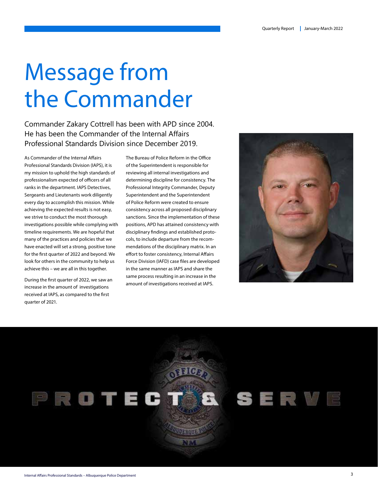### Message from the Commander

Commander Zakary Cottrell has been with APD since 2004. He has been the Commander of the Internal Affairs Professional Standards Division since December 2019.

As Commander of the Internal Affairs Professional Standards Division (IAPS), it is my mission to uphold the high standards of professionalism expected of officers of all ranks in the department. IAPS Detectives, Sergeants and Lieutenants work diligently every day to accomplish this mission. While achieving the expected results is not easy, we strive to conduct the most thorough investigations possible while complying with timeline requirements. We are hopeful that many of the practices and policies that we have enacted will set a strong, positive tone for the first quarter of 2022 and beyond. We look for others in the community to help us achieve this – we are all in this together.

During the first quarter of 2022, we saw an increase in the amount of investigations received at IAPS, as compared to the first quarter of 2021.

The Bureau of Police Reform in the Office of the Superintendent is responsible for reviewing all internal investigations and determining discipline for consistency. The Professional Integrity Commander, Deputy Superintendent and the Superintendent of Police Reform were created to ensure consistency across all proposed disciplinary sanctions. Since the implementation of these positions, APD has attained consistency with disciplinary findings and established protocols, to include departure from the recommendations of the disciplinary matrix. In an effort to foster consistency, Internal Affairs Force Division (IAFD) case files are developed in the same manner as IAPS and share the same process resulting in an increase in the amount of investigations received at IAPS.



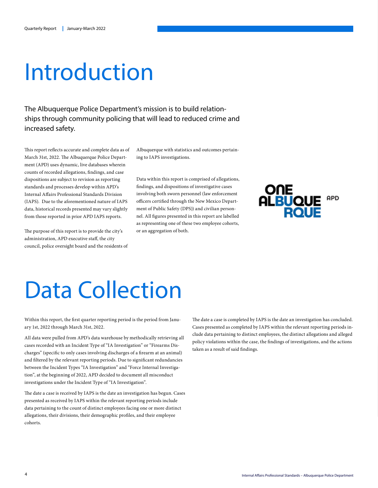### Introduction

The Albuquerque Police Department's mission is to build relationships through community policing that will lead to reduced crime and increased safety.

This report reflects accurate and complete data as of March 31st, 2022. The Albuquerque Police Department (APD) uses dynamic, live databases wherein counts of recorded allegations, findings, and case dispositions are subject to revision as reporting standards and processes develop within APD's Internal Affairs Professional Standards Division (IAPS). Due to the aforementioned nature of IAPS data, historical records presented may vary slightly from those reported in prior APD IAPS reports.

The purpose of this report is to provide the city's administration, APD executive staff, the city council, police oversight board and the residents of Albuquerque with statistics and outcomes pertaining to IAPS investigations.

Data within this report is comprised of allegations, findings, and dispositions of investigative cases involving both sworn personnel (law enforcement officers certified through the New Mexico Department of Public Safety (DPS)) and civilian personnel. All figures presented in this report are labelled as representing one of these two employee cohorts, or an aggregation of both.



### Data Collection

Within this report, the first quarter reporting period is the period from January 1st, 2022 through March 31st, 2022.

All data were pulled from APD's data warehouse by methodically retrieving all cases recorded with an Incident Type of "IA Investigation" or "Firearms Discharges" (specific to only cases involving discharges of a firearm at an animal) and filtered by the relevant reporting periods. Due to significant redundancies between the Incident Types "IA Investigation" and "Force Internal Investigation", at the beginning of 2022, APD decided to document all misconduct investigations under the Incident Type of "IA Investigation".

The date a case is received by IAPS is the date an investigation has begun. Cases presented as received by IAPS within the relevant reporting periods include data pertaining to the count of distinct employees facing one or more distinct allegations, their divisions, their demographic profiles, and their employee cohorts.

The date a case is completed by IAPS is the date an investigation has concluded. Cases presented as completed by IAPS within the relevant reporting periods include data pertaining to distinct employees, the distinct allegations and alleged policy violations within the case, the findings of investigations, and the actions taken as a result of said findings.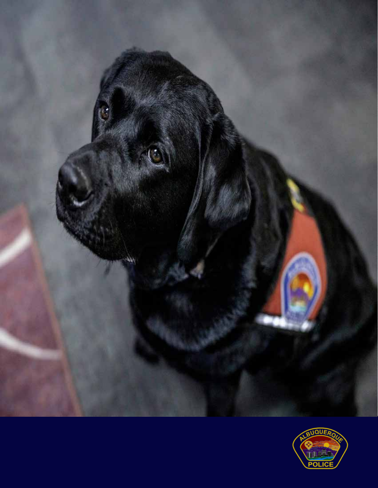

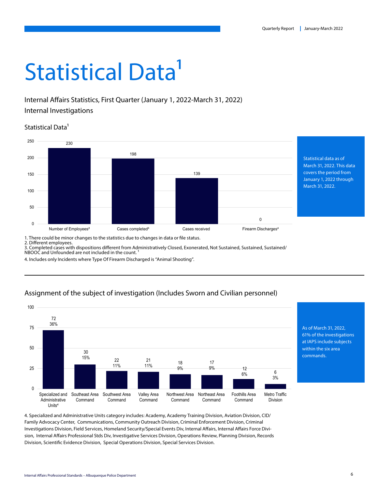## **Statistical Data<sup>1</sup>**

Internal Affairs Statistics, First Quarter (January 1, 2022-March 31, 2022) Internal Investigations

Statistical Data<sup>1</sup>



1. There could be minor changes to the statistics due to changes in data or file status.

2. Different employees.

3. Completed cases with dispositions different from Administratively Closed, Exonerated, Not Sustained, Sustained, Sustained/ NBOOC and Unfounded are not included in the count. 1

4. Includes only Incidents where Type Of Firearm Discharged is "Animal Shooting".



#### Assignment of the subject of investigation (Includes Sworn and Civilian personnel)

As of March 31, 2022, 61% of the investigations at IAPS include subjects within the six area commands.

4. Specialized and Administrative Units category includes: Academy, Academy Training Division, Aviation Division, CID/ Family Advocacy Center, Communications, Community Outreach Division, Criminal Enforcement Division, Criminal Investigations Division, Field Services, Homeland Security/Special Events Div, Internal Affairs, Internal Affairs Force Division, Internal Affairs Professional Stds Div, Investigative Services Division, Operations Review, Planning Division, Records Division, Scientific Evidence Division, Special Operations Division, Special Services Division.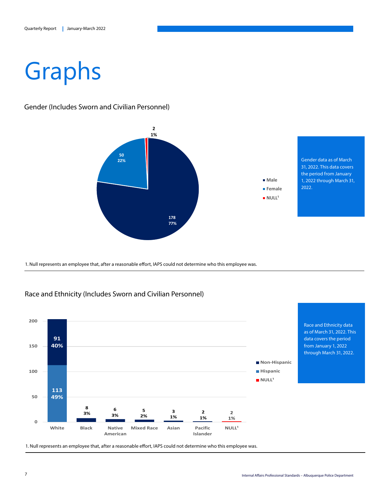#### Gender (Includes Sworn and Civilian Personnel)



1. Null represents an employee that, after a reasonable effort, IAPS could not determine who this employee was.

#### Race and Ethnicity (Includes Sworn and Civilian Personnel)



1. Null represents an employee that, after a reasonable effort, IAPS could not determine who this employee was.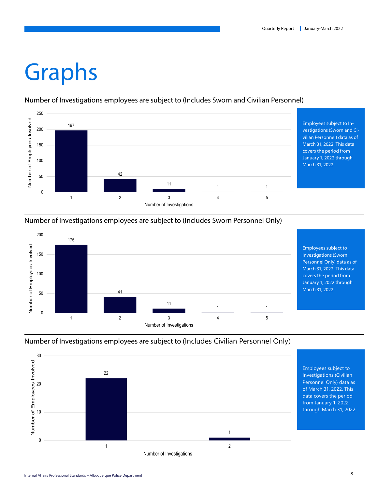

Number of Investigations employees are subject to (Includes Sworn and Civilian Personnel)

#### Number of Investigations employees are subject to (Includes Sworn Personnel Only)





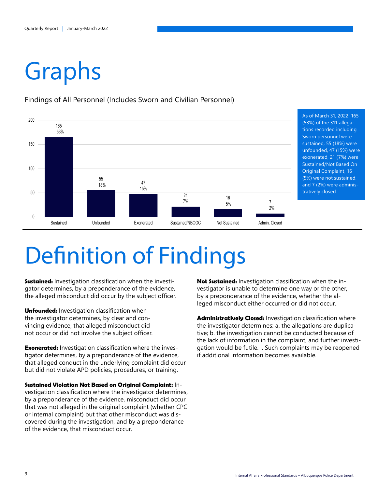#### 165 53% 55  $\frac{18\%}{18\%}$  47 15% 21 די - 16<br>7% <sub>בס</sub> 5% <sup>7</sup> 2% 0 50 100 150 200 Sustained Unfounded Exonerated Sustained/NBOOC Not Sustained Admin. Closed

Findings of All Personnel (Includes Sworn and Civilian Personnel)

As of March 31, 2022: 165 (53%) of the 311 allegations recorded including Sworn personnel were sustained, 55 (18%) were unfounded, 47 (15%) were exonerated, 21 (7%) were Sustained/Not Based On Original Complaint, 16 (5%) were not sustained, and 7 (2%) were administratively closed

## Definition of Findings

**Sustained:** Investigation classification when the investigator determines, by a preponderance of the evidence, the alleged misconduct did occur by the subject officer.

**Unfounded:** Investigation classification when the investigator determines, by clear and convincing evidence, that alleged misconduct did not occur or did not involve the subject officer.

**Exonerated:** Investigation classification where the investigator determines, by a preponderance of the evidence, that alleged conduct in the underlying complaint did occur but did not violate APD policies, procedures, or training.

**Sustained Violation Not Based on Original Complaint:** Investigation classification where the investigator determines, by a preponderance of the evidence, misconduct did occur that was not alleged in the original complaint (whether CPC or internal complaint) but that other misconduct was discovered during the investigation, and by a preponderance of the evidence, that misconduct occur.

**Not Sustained:** Investigation classification when the investigator is unable to determine one way or the other, by a preponderance of the evidence, whether the alleged misconduct either occurred or did not occur.

**Administratively Closed:** Investigation classification where the investigator determines: a. the allegations are duplicative; b. the investigation cannot be conducted because of the lack of information in the complaint, and further investigation would be futile. i. Such complaints may be reopened if additional information becomes available.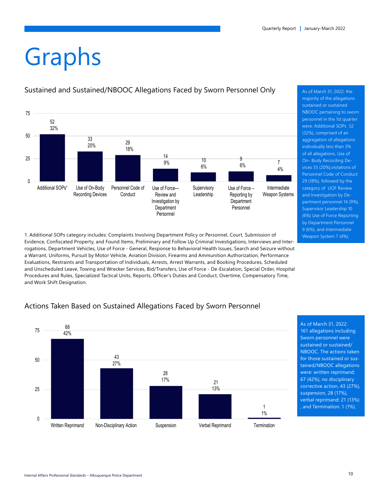

Sustained and Sustained/NBOOC Allegations Faced by Sworn Personnel Only

1. Additional SOPs category includes: Complaints Involving Department Policy or Personnel, Court, Submission of Evidence, Confiscated Property, and Found Items, Preliminary and Follow Up Criminal Investigations, Interviews and Interrogations, Department Vehicles, Use of Force - General, Response to Behavioral Health Issues, Search and Seizure without a Warrant, Uniforms, Pursuit by Motor Vehicle, Aviation Division, Firearms and Ammunition Authorization, Performance Evaluations, Restraints and Transportation of Individuals, Arrests, Arrest Warrants, and Booking Procedures, Scheduled and Unscheduled Leave, Towing and Wrecker Services, Bid/Transfers, Use of Force - De-Escalation, Special Order, Hospital Procedures and Rules, Specialized Tactical Units, Reports, Officer's Duties and Conduct, Overtime, Compensatory Time, and Work Shift Designation.

#### 68 42% 43 27% 28<br>17% 17% <sup>21</sup> 13% 1 1%  $\theta$ 25 50 75 Written Reprimand Non-Disciplinary Action Suspension Verbal Reprimand Termination

Actions Taken Based on Sustained Allegations Faced by Sworn Personnel

As of March 31, 2022: the majority of the allegations sustained or sustained NBOOC pertaining to sworn personnel in the 1st quarter were: Additional SOPs 52 (32%), comprised of an aggregation of allegations individually less than 3% of all allegations, Use of On- Body Recording Devices 33 (20%),violations of Personnel Code of Conduct 29 (18%), followed by the category of UOF Review and Investigation by Department personnel 14 (9%), Supervisor Leadership 10 (6%) Use of Force Reporting by Department Personnel 9 (6%), and Intermediate Weapon System 7 (4%).

As of March 31, 2022: 161 allegations including Sworn personnel were sustained or sustained/ NBOOC. The actions taken for those sustained or sustained/NBOOC allegations were: written reprimand: 67 (42%), no disciplinary corrective action, 43 (27%), suspension, 28 (17%), verbal reprimand: 21 (13%) , and Termination: 1 (1%).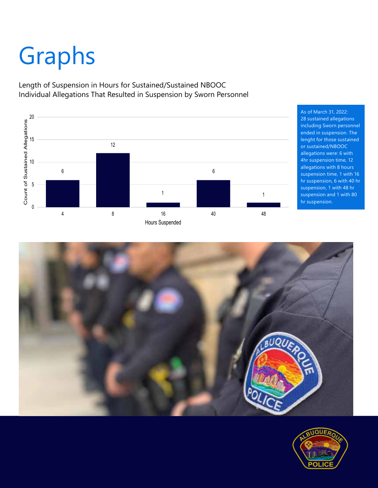Length of Suspension in Hours for Sustained/Sustained NBOOC Individual Allegations That Resulted in Suspension by Sworn Personnel



As of March 31, 2022: 28 sustained allegations including Sworn personnel ended in suspension. The lenght for those sustained or sustained/NBOOC allegations were: 6 with 4hr suspension time, 12 allegations with 8 hours suspension time, 1 with 16 hr suspension, 6 with 40 hr suspension, 1 with 48 hr suspension and 1 with 80 hr suspension.



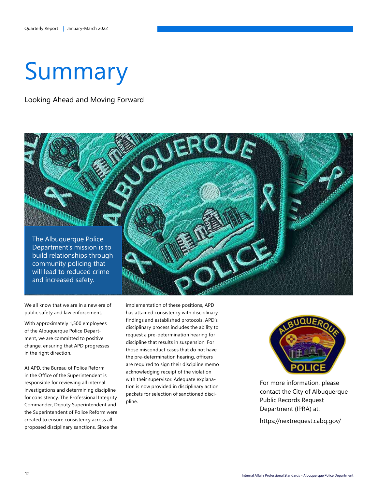## Summary

Looking Ahead and Moving Forward



We all know that we are in a new era of public safety and law enforcement.

With approximately 1,500 employees of the Albuquerque Police Department, we are committed to positive change, ensuring that APD progresses in the right direction.

At APD, the Bureau of Police Reform in the Office of the Superintendent is responsible for reviewing all internal investigations and determining discipline for consistency. The Professional Integrity Commander, Deputy Superintendent and the Superintendent of Police Reform were created to ensure consistency across all proposed disciplinary sanctions. Since the implementation of these positions, APD has attained consistency with disciplinary findings and established protocols. APD's disciplinary process includes the ability to request a pre-determination hearing for discipline that results in suspension. For those misconduct cases that do not have the pre-determination hearing, officers are required to sign their discipline memo acknowledging receipt of the violation with their supervisor. Adequate explanation is now provided in disciplinary action packets for selection of sanctioned discipline.



For more information, please contact the City of Albuquerque Public Records Request Department (IPRA) at:

https://nextrequest.cabq.gov/